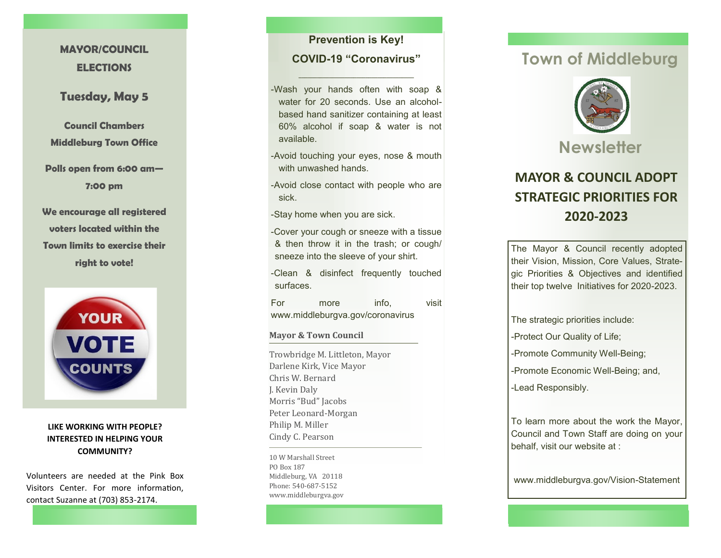## **MAYOR/COUNCIL ELECTIONS**

## **Tuesday, May 5**

**Council Chambers Middleburg Town Office**

**Polls open from 6:00 am — 7:00 pm**

**We encourage all registered voters located within the Town limits to exercise their right to vote!**



**LIKE WORKING WITH PEOPLE? INTERESTED IN HELPING YOUR COMMUNITY?**

Volunteers are needed at the Pink Box Visitors Center. For more information, contact Suzanne at (703) 853 -2174.

## **Prevention is Key! COVID -19 "Coronavirus "**

**\_\_\_\_\_\_\_\_\_\_\_\_\_\_\_\_\_\_\_\_\_\_\_\_\_\_\_\_\_\_\_\_\_\_\_\_\_\_**

-Wash your hands often with soap & water for 20 seconds. Use an alcohol based hand sanitizer containing at least 60% alcohol if soap & water is not available.

-Avoid touching your eyes, nose & mouth with unwashed hands.

-Avoid close contact with people who are sick.

-Stay home when you are sick.

-Cover your cough or sneeze with a tissue & then throw it in the trash; or cough/ sneeze into the sleeve of your shirt.

-Clean & disinfect frequently touched surfaces.

For more info, visit www.middleburgva.gov/coronavirus

**Mayor & Town Council**

Trowbridge M. Littleton, Mayor Darlene Kirk, Vice Mayor Chris W. Bernard J. Kevin Daly Morris "Bud" Jacobs Peter Leonard -Morgan Philip M. Miller Cindy C. Pearson

10 W Marshall Street PO Box 187 Middleburg, VA 20118 Phone: 540-687-5152 www.middleburgva.gov

# **Town of Middleburg**



# **MAYOR & COUNCIL ADOPT STRATEGIC PRIORITIES FOR 2020 -2023**

The Mayor & Council recently adopted their Vision, Mission, Core Values, Strategic Priorities & Objectives and identified their top twelve Initiatives for 2020 -2023.

The strategic priorities include:

-Protect Our Quality of Life;

-Promote Community Well-Being;

-Promote Economic Well-Being; and,

-Lead Responsibly.

To learn more about the work the Mayor, Council and Town Staff are doing on your behalf, visit our website at :

www.middleburgva.gov/Vision -Statement